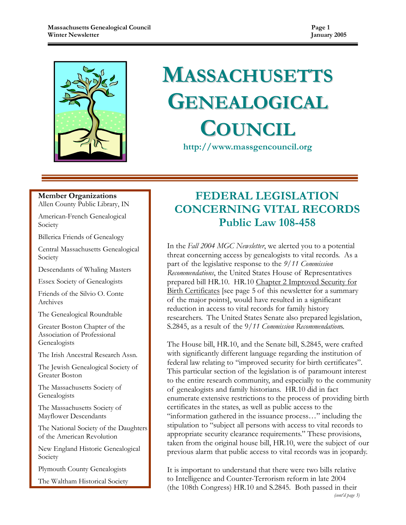

# MASSACHUSETTS GENEALOGICAL **COUNCIL**

http://www.massgencouncil.org

#### Member Organizations Allen County Public Library, IN

American-French Genealogical

Society

Billerica Friends of Genealogy

Central Massachusetts Genealogical Society

Descendants of Whaling Masters

Essex Society of Genealogists

Friends of the Silvio O. Conte Archives

The Genealogical Roundtable

Greater Boston Chapter of the Association of Professional **Genealogists** 

The Irish Ancestral Research Assn.

The Jewish Genealogical Society of Greater Boston

The Massachusetts Society of Genealogists

The Massachusetts Society of Mayflower Descendants

The National Society of the Daughters of the American Revolution

New England Historic Genealogical Society

Plymouth County Genealogists

The Waltham Historical Society

# FEDERAL LEGISLATION CONCERNING VITAL RECORDS Public Law 108-458

In the Fall 2004 MGC Newsletter, we alerted you to a potential threat concerning access by genealogists to vital records. As a part of the legislative response to the 9/11 Commission Recommendations, the United States House of Representatives prepared bill HR.10. HR.10 Chapter 2 Improved Security for Birth Certificates [see page 5 of this newsletter for a summary of the major points], would have resulted in a significant reduction in access to vital records for family history researchers. The United States Senate also prepared legislation, S.2845, as a result of the 9/11 Commission Recommendations.

The House bill, HR.10, and the Senate bill, S.2845, were crafted with significantly different language regarding the institution of federal law relating to "improved security for birth certificates". This particular section of the legislation is of paramount interest to the entire research community, and especially to the community of genealogists and family historians. HR.10 did in fact enumerate extensive restrictions to the process of providing birth certificates in the states, as well as public access to the "information gathered in the issuance process…" including the stipulation to "subject all persons with access to vital records to appropriate security clearance requirements." These provisions, taken from the original house bill, HR.10, were the subject of our previous alarm that public access to vital records was in jeopardy.

It is important to understand that there were two bills relative to Intelligence and Counter-Terrorism reform in late 2004 (the 108th Congress) HR.10 and S.2845. Both passed in their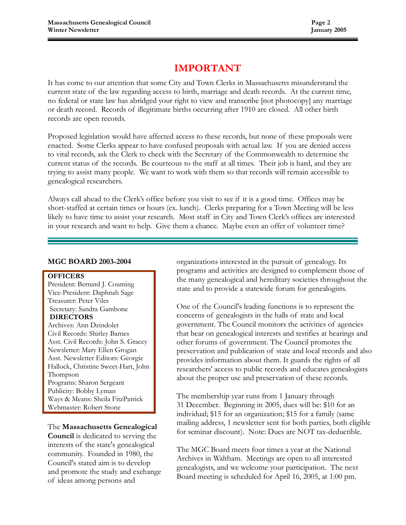# IMPORTANT

It has come to our attention that some City and Town Clerks in Massachusetts misunderstand the current state of the law regarding access to birth, marriage and death records. At the current time, no federal or state law has abridged your right to view and transcribe [not photocopy] any marriage or death record. Records of illegitimate births occurring after 1910 are closed. All other birth records are open records.

Proposed legislation would have affected access to these records, but none of these proposals were enacted. Some Clerks appear to have confused proposals with actual law. If you are denied access to vital records, ask the Clerk to check with the Secretary of the Commonwealth to determine the current status of the records. Be courteous to the staff at all times. Their job is hard, and they are trying to assist many people. We want to work with them so that records will remain accessible to genealogical researchers.

Always call ahead to the Clerk's office before you visit to see if it is a good time. Offices may be short-staffed at certain times or hours (ex. lunch). Clerks preparing for a Town Meeting will be less likely to have time to assist your research. Most staff in City and Town Clerk's offices are interested in your research and want to help. Give them a chance. Maybe even an offer of volunteer time?

#### MGC BOARD 2003-2004

#### **OFFICERS**

President: Bernard J. Couming Vice-President: Daphnah Sage Treasurer: Peter Viles Secretary: Sandra Gambone DIRECTORS

Archives: Ann Dzindolet Civil Records: Shirley Barnes Asst. Civil Records: John S. Gracey Newsletter: Mary Ellen Grogan Asst. Newsletter Editors: Georgie Hallock, Christine Sweet-Hart, John Thompson Programs: Sharon Sergeant Publicity: Bobby Lyman Ways & Means: Sheila FitzPatrick Webmaster: Robert Stone

The Massachusetts Genealogical Council is dedicated to serving the interests of the state's genealogical community. Founded in 1980, the Council's stated aim is to develop and promote the study and exchange of ideas among persons and

organizations interested in the pursuit of genealogy. Its programs and activities are designed to complement those of the many genealogical and hereditary societies throughout the state and to provide a statewide forum for genealogists.

One of the Council's leading functions is to represent the concerns of genealogists in the halls of state and local government. The Council monitors the activities of agencies that bear on genealogical interests and testifies at hearings and other forums of government. The Council promotes the preservation and publication of state and local records and also provides information about them. It guards the rights of all researchers' access to public records and educates genealogists about the proper use and preservation of these records.

The membership year runs from 1 January through 31 December. Beginning in 2005, dues will be: \$10 for an individual; \$15 for an organization; \$15 for a family (same mailing address, 1 newsletter sent for both parties, both eligible for seminar discount). Note: Dues are NOT tax-deductible.

The MGC Board meets four times a year at the National Archives in Waltham. Meetings are open to all interested genealogists, and we welcome your participation. The next Board meeting is scheduled for April 16, 2005, at 1:00 pm.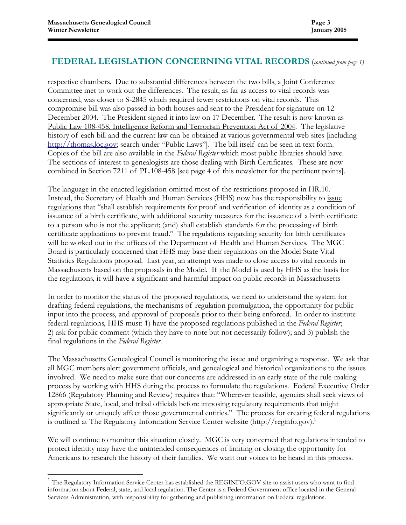$\overline{a}$ 

# FEDERAL LEGISLATION CONCERNING VITAL RECORDS (continued from page 1)

respective chambers. Due to substantial differences between the two bills, a Joint Conference Committee met to work out the differences. The result, as far as access to vital records was concerned, was closer to S-2845 which required fewer restrictions on vital records. This compromise bill was also passed in both houses and sent to the President for signature on 12 December 2004. The President signed it into law on 17 December. The result is now known as Public Law 108-458, Intelligence Reform and Terrorism Prevention Act of 2004. The legislative history of each bill and the current law can be obtained at various governmental web sites [including http://thomas.loc.gov; search under "Public Laws"]. The bill itself can be seen in text form. Copies of the bill are also available in the Federal Register which most public libraries should have. The sections of interest to genealogists are those dealing with Birth Certificates. These are now combined in Section 7211 of PL.108-458 [see page 4 of this newsletter for the pertinent points].

The language in the enacted legislation omitted most of the restrictions proposed in HR.10. Instead, the Secretary of Health and Human Services (HHS) now has the responsibility to issue regulations that "shall establish requirements for proof and verification of identity as a condition of issuance of a birth certificate, with additional security measures for the issuance of a birth certificate to a person who is not the applicant; (and) shall establish standards for the processing of birth certificate applications to prevent fraud." The regulations regarding security for birth certificates will be worked out in the offices of the Department of Health and Human Services. The MGC Board is particularly concerned that HHS may base their regulations on the Model State Vital Statistics Regulations proposal. Last year, an attempt was made to close access to vital records in Massachusetts based on the proposals in the Model. If the Model is used by HHS as the basis for the regulations, it will have a significant and harmful impact on public records in Massachusetts

In order to monitor the status of the proposed regulations, we need to understand the system for drafting federal regulations, the mechanisms of regulation promulgation, the opportunity for public input into the process, and approval of proposals prior to their being enforced. In order to institute federal regulations, HHS must: 1) have the proposed regulations published in the Federal Register; 2) ask for public comment (which they have to note but not necessarily follow); and 3) publish the final regulations in the Federal Register.

The Massachusetts Genealogical Council is monitoring the issue and organizing a response. We ask that all MGC members alert government officials, and genealogical and historical organizations to the issues involved. We need to make sure that our concerns are addressed in an early state of the rule-making process by working with HHS during the process to formulate the regulations. Federal Executive Order 12866 (Regulatory Planning and Review) requires that: "Wherever feasible, agencies shall seek views of appropriate State, local, and tribal officials before imposing regulatory requirements that might significantly or uniquely affect those governmental entities." The process for creating federal regulations is outlined at The Regulatory Information Service Center website (http://reginfo.gov).<sup>1</sup>

We will continue to monitor this situation closely. MGC is very concerned that regulations intended to protect identity may have the unintended consequences of limiting or closing the opportunity for Americans to research the history of their families. We want our voices to be heard in this process.

<sup>&</sup>lt;sup>1</sup> The Regulatory Information Service Center has established the REGINFO.GOV site to assist users who want to find information about Federal, state, and local regulation. The Center is a Federal Government office located in the General Services Administration, with responsibility for gathering and publishing information on Federal regulations.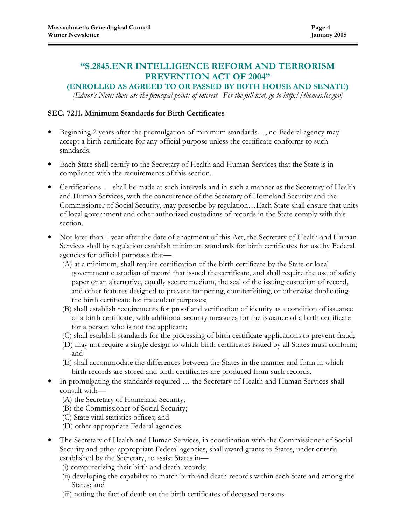# "S.2845.ENR INTELLIGENCE REFORM AND TERRORISM PREVENTION ACT OF 2004"

### (ENROLLED AS AGREED TO OR PASSED BY BOTH HOUSE AND SENATE)

[Editor's Note: these are the principal points of interest. For the full text, go to http://thomas.loc.gov]

#### SEC. 7211. Minimum Standards for Birth Certificates

- Beginning 2 years after the promulgation of minimum standards…, no Federal agency may accept a birth certificate for any official purpose unless the certificate conforms to such standards.
- Each State shall certify to the Secretary of Health and Human Services that the State is in compliance with the requirements of this section.
- Certifications … shall be made at such intervals and in such a manner as the Secretary of Health and Human Services, with the concurrence of the Secretary of Homeland Security and the Commissioner of Social Security, may prescribe by regulation…Each State shall ensure that units of local government and other authorized custodians of records in the State comply with this section.
- Not later than 1 year after the date of enactment of this Act, the Secretary of Health and Human Services shall by regulation establish minimum standards for birth certificates for use by Federal agencies for official purposes that—
	- (A) at a minimum, shall require certification of the birth certificate by the State or local government custodian of record that issued the certificate, and shall require the use of safety paper or an alternative, equally secure medium, the seal of the issuing custodian of record, and other features designed to prevent tampering, counterfeiting, or otherwise duplicating the birth certificate for fraudulent purposes;
	- (B) shall establish requirements for proof and verification of identity as a condition of issuance of a birth certificate, with additional security measures for the issuance of a birth certificate for a person who is not the applicant;
	- (C) shall establish standards for the processing of birth certificate applications to prevent fraud;
	- (D) may not require a single design to which birth certificates issued by all States must conform; and
	- (E) shall accommodate the differences between the States in the manner and form in which birth records are stored and birth certificates are produced from such records.
- In promulgating the standards required ... the Secretary of Health and Human Services shall consult with—
	- (A) the Secretary of Homeland Security;
	- (B) the Commissioner of Social Security;
	- (C) State vital statistics offices; and
	- (D) other appropriate Federal agencies.
- The Secretary of Health and Human Services, in coordination with the Commissioner of Social Security and other appropriate Federal agencies, shall award grants to States, under criteria established by the Secretary, to assist States in—
	- (i) computerizing their birth and death records;
	- (ii) developing the capability to match birth and death records within each State and among the States; and
	- (iii) noting the fact of death on the birth certificates of deceased persons.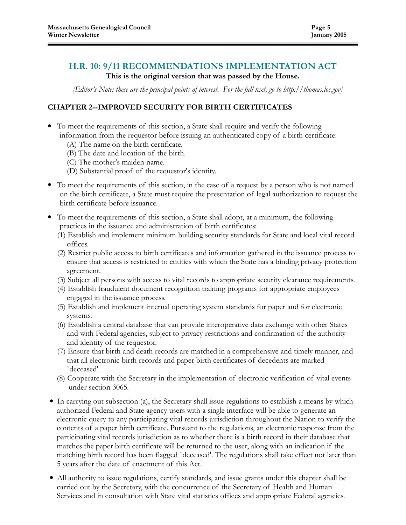# H.R. 10: 9/11 RECOMMENDATIONS IMPLEMENTATION ACT

## This is the original version that was passed by the House.

[Editor's Note: these are the principal points of interest. For the full text, go to http://thomas.loc.gov]

## CHAPTER 2--IMPROVED SECURITY FOR BIRTH CERTIFICATES

- To meet the requirements of this section, a State shall require and verify the following information from the requestor before issuing an authenticated copy of a birth certificate:
	- (A) The name on the birth certificate.
	- (B) The date and location of the birth.
	- (C) The mother's maiden name.
	- (D) Substantial proof of the requestor's identity.
- To meet the requirements of this section, in the case of a request by a person who is not named on the birth certificate, a State must require the presentation of legal authorization to request the birth certificate before issuance.
- To meet the requirements of this section, a State shall adopt, at a minimum, the following practices in the issuance and administration of birth certificates:
	- (1) Establish and implement minimum building security standards for State and local vital record offices.
	- (2) Restrict public access to birth certificates and information gathered in the issuance process to ensure that access is restricted to entities with which the State has a binding privacy protection agreement.
	- (3) Subject all persons with access to vital records to appropriate security clearance requirements.
	- (4) Establish fraudulent document recognition training programs for appropriate employees engaged in the issuance process.
	- (5) Establish and implement internal operating system standards for paper and for electronic systems.
	- (6) Establish a central database that can provide interoperative data exchange with other States and with Federal agencies, subject to privacy restrictions and confirmation of the authority and identity of the requestor.
	- (7) Ensure that birth and death records are matched in a comprehensive and timely manner, and that all electronic birth records and paper birth certificates of decedents are marked `deceased'.
	- (8) Cooperate with the Secretary in the implementation of electronic verification of vital events under section 3065.
- In carrying out subsection (a), the Secretary shall issue regulations to establish a means by which authorized Federal and State agency users with a single interface will be able to generate an electronic query to any participating vital records jurisdiction throughout the Nation to verify the contents of a paper birth certificate. Pursuant to the regulations, an electronic response from the participating vital records jurisdiction as to whether there is a birth record in their database that matches the paper birth certificate will be returned to the user, along with an indication if the matching birth record has been flagged `deceased'. The regulations shall take effect not later than 5 years after the date of enactment of this Act.
- All authority to issue regulations, certify standards, and issue grants under this chapter shall be carried out by the Secretary, with the concurrence of the Secretary of Health and Human Services and in consultation with State vital statistics offices and appropriate Federal agencies.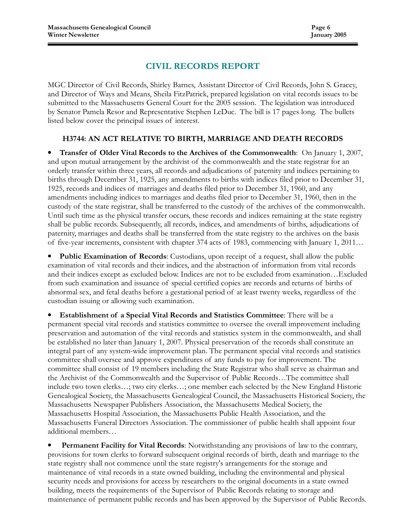# CIVIL RECORDS REPORT

MGC Director of Civil Records, Shirley Barnes, Assistant Director of Civil Records, John S. Gracey, and Director of Ways and Means, Sheila FitzPatrick, prepared legislation on vital records issues to be submitted to the Massachusetts General Court for the 2005 session. The legislation was introduced by Senator Pamela Resor and Representative Stephen LeDuc. The bill is 17 pages long. The bullets listed below cover the principal issues of interest.

# H3744: AN ACT RELATIVE TO BIRTH, MARRIAGE AND DEATH RECORDS

• Transfer of Older Vital Records to the Archives of the Commonwealth: On January 1, 2007, and upon mutual arrangement by the archivist of the commonwealth and the state registrar for an orderly transfer within three years, all records and adjudications of paternity and indices pertaining to births through December 31, 1925, any amendments to births with indices filed prior to December 31, 1925, records and indices of marriages and deaths filed prior to December 31, 1960, and any amendments including indices to marriages and deaths filed prior to December 31, 1960, then in the custody of the state registrar, shall be transferred to the custody of the archives of the commonwealth. Until such time as the physical transfer occurs, these records and indices remaining at the state registry shall be public records. Subsequently, all records, indices, and amendments of births, adjudications of paternity, marriages and deaths shall be transferred from the state registry to the archives on the basis of five-year increments, consistent with chapter 374 acts of 1983, commencing with January 1, 2011…

Public Examination of Records: Custodians, upon receipt of a request, shall allow the public examination of vital records and their indices, and the abstraction of information from vital records and their indices except as excluded below. Indices are not to be excluded from examination…Excluded from such examination and issuance of special certified copies are records and returns of births of abnormal sex, and fetal deaths before a gestational period of at least twenty weeks, regardless of the custodian issuing or allowing such examination.

• Establishment of a Special Vital Records and Statistics Committee: There will be a permanent special vital records and statistics committee to oversee the overall improvement including preservation and automation of the vital records and statistics system in the commonwealth, and shall be established no later than January 1, 2007. Physical preservation of the records shall constitute an integral part of any system-wide improvement plan. The permanent special vital records and statistics committee shall oversee and approve expenditures of any funds to pay for improvement. The committee shall consist of 19 members including the State Registrar who shall serve as chairman and the Archivist of the Commonwealth and the Supervisor of Public Records…The committee shall include two town clerks…; two city clerks…; one member each selected by the New England Historic Genealogical Society, the Massachusetts Genealogical Council, the Massachusetts Historical Society, the Massachusetts Newspaper Publishers Association, the Massachusetts Medical Society, the Massachusetts Hospital Association, the Massachusetts Public Health Association, and the Massachusetts Funeral Directors Association. The commissioner of public health shall appoint four additional members…

**Permanent Facility for Vital Records:** Notwithstanding any provisions of law to the contrary, provisions for town clerks to forward subsequent original records of birth, death and marriage to the state registry shall not commence until the state registry's arrangements for the storage and maintenance of vital records in a state owned building, including the environmental and physical security needs and provisions for access by researchers to the original documents in a state owned building, meets the requirements of the Supervisor of Public Records relating to storage and maintenance of permanent public records and has been approved by the Supervisor of Public Records.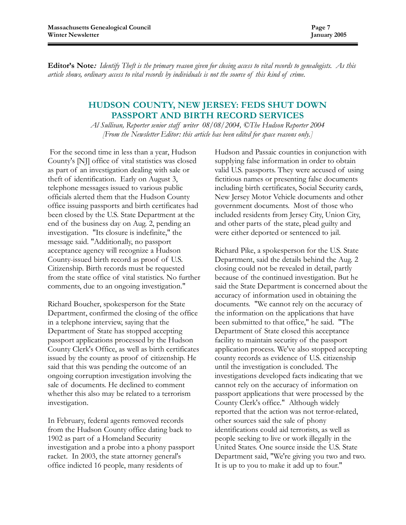Editor's Note: Identify Theft is the primary reason given for closing access to vital records to genealogists. As this article shows, ordinary access to vital records by individuals is not the source of this kind of crime.

### HUDSON COUNTY, NEW JERSEY: FEDS SHUT DOWN PASSPORT AND BIRTH RECORD SERVICES

Al Sullivan, Reporter senior staff writer 08/08/2004, ©The Hudson Reporter 2004 [From the Newsletter Editor: this article has been edited for space reasons only.]

 For the second time in less than a year, Hudson County's [NJ] office of vital statistics was closed as part of an investigation dealing with sale or theft of identification. Early on August 3, telephone messages issued to various public officials alerted them that the Hudson County office issuing passports and birth certificates had been closed by the U.S. State Department at the end of the business day on Aug. 2, pending an investigation. "Its closure is indefinite," the message said. "Additionally, no passport acceptance agency will recognize a Hudson County-issued birth record as proof of U.S. Citizenship. Birth records must be requested from the state office of vital statistics. No further comments, due to an ongoing investigation."

Richard Boucher, spokesperson for the State Department, confirmed the closing of the office in a telephone interview, saying that the Department of State has stopped accepting passport applications processed by the Hudson County Clerk's Office, as well as birth certificates issued by the county as proof of citizenship. He said that this was pending the outcome of an ongoing corruption investigation involving the sale of documents. He declined to comment whether this also may be related to a terrorism investigation.

In February, federal agents removed records from the Hudson County office dating back to 1902 as part of a Homeland Security investigation and a probe into a phony passport racket. In 2003, the state attorney general's office indicted 16 people, many residents of

Hudson and Passaic counties in conjunction with supplying false information in order to obtain valid U.S. passports. They were accused of using fictitious names or presenting false documents including birth certificates, Social Security cards, New Jersey Motor Vehicle documents and other government documents. Most of those who included residents from Jersey City, Union City, and other parts of the state, plead guilty and were either deported or sentenced to jail.

Richard Pike, a spokesperson for the U.S. State Department, said the details behind the Aug. 2 closing could not be revealed in detail, partly because of the continued investigation. But he said the State Department is concerned about the accuracy of information used in obtaining the documents. "We cannot rely on the accuracy of the information on the applications that have been submitted to that office," he said. "The Department of State closed this acceptance facility to maintain security of the passport application process. We've also stopped accepting county records as evidence of U.S. citizenship until the investigation is concluded. The investigations developed facts indicating that we cannot rely on the accuracy of information on passport applications that were processed by the County Clerk's office." Although widely reported that the action was not terror-related, other sources said the sale of phony identifications could aid terrorists, as well as people seeking to live or work illegally in the United States. One source inside the U.S. State Department said, "We're giving you two and two. It is up to you to make it add up to four."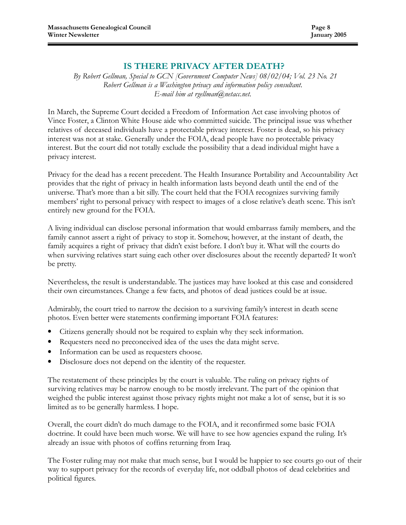# IS THERE PRIVACY AFTER DEATH?

By Robert Gellman, Special to GCN [Government Computer News] 08/02/04; Vol. 23 No. 21 Robert Gellman is a Washington privacy and information policy consultant. E-mail him at rgellman@netacc.net.

In March, the Supreme Court decided a Freedom of Information Act case involving photos of Vince Foster, a Clinton White House aide who committed suicide. The principal issue was whether relatives of deceased individuals have a protectable privacy interest. Foster is dead, so his privacy interest was not at stake. Generally under the FOIA, dead people have no protectable privacy interest. But the court did not totally exclude the possibility that a dead individual might have a privacy interest.

Privacy for the dead has a recent precedent. The Health Insurance Portability and Accountability Act provides that the right of privacy in health information lasts beyond death until the end of the universe. That's more than a bit silly. The court held that the FOIA recognizes surviving family members' right to personal privacy with respect to images of a close relative's death scene. This isn't entirely new ground for the FOIA.

A living individual can disclose personal information that would embarrass family members, and the family cannot assert a right of privacy to stop it. Somehow, however, at the instant of death, the family acquires a right of privacy that didn't exist before. I don't buy it. What will the courts do when surviving relatives start suing each other over disclosures about the recently departed? It won't be pretty.

Nevertheless, the result is understandable. The justices may have looked at this case and considered their own circumstances. Change a few facts, and photos of dead justices could be at issue.

Admirably, the court tried to narrow the decision to a surviving family's interest in death scene photos. Even better were statements confirming important FOIA features:

- Citizens generally should not be required to explain why they seek information.
- Requesters need no preconceived idea of the uses the data might serve.
- Information can be used as requesters choose.
- Disclosure does not depend on the identity of the requester.

The restatement of these principles by the court is valuable. The ruling on privacy rights of surviving relatives may be narrow enough to be mostly irrelevant. The part of the opinion that weighed the public interest against those privacy rights might not make a lot of sense, but it is so limited as to be generally harmless. I hope.

Overall, the court didn't do much damage to the FOIA, and it reconfirmed some basic FOIA doctrine. It could have been much worse. We will have to see how agencies expand the ruling. It's already an issue with photos of coffins returning from Iraq.

The Foster ruling may not make that much sense, but I would be happier to see courts go out of their way to support privacy for the records of everyday life, not oddball photos of dead celebrities and political figures.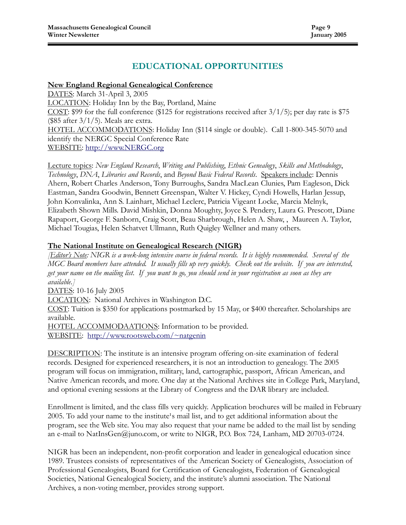# EDUCATIONAL OPPORTUNITIES

#### New England Regional Genealogical Conference

DATES: March 31-April 3, 2005 LOCATION: Holiday Inn by the Bay, Portland, Maine COST: \$99 for the full conference (\$125 for registrations received after  $3/1/5$ ); per day rate is \$75 (\$85 after 3/1/5). Meals are extra. HOTEL ACCOMMODATIONS: Holiday Inn (\$114 single or double). Call 1-800-345-5070 and identify the NERGC Special Conference Rate WEBSITE: http://www.NERGC.org

Lecture topics: New England Research, Writing and Publishing, Ethnic Genealogy, Skills and Methodology, Technology, DNA, Libraries and Records, and Beyond Basic Federal Records. Speakers include: Dennis Ahern, Robert Charles Anderson, Tony Burroughs, Sandra MacLean Clunies, Pam Eagleson, Dick Eastman, Sandra Goodwin, Bennett Greenspan, Walter V. Hickey, Cyndi Howells, Harlan Jessup, John Konvalinka, Ann S. Lainhart, Michael Leclerc, Patricia Vigeant Locke, Marcia Melnyk, Elizabeth Shown Mills. David Mishkin, Donna Moughty, Joyce S. Pendery, Laura G. Prescott, Diane Rapaport, George F. Sanborn, Craig Scott, Beau Sharbrough, Helen A. Shaw, , Maureen A. Taylor, Michael Tougias, Helen Schatvet Ullmann, Ruth Quigley Wellner and many others.

#### The National Institute on Genealogical Research (NIGR)

**[Editor's Note:** NIGR is a week-long intensive course in federal records. It is highly recommended. Several of the MGC Board members have attended. It usually fills up very quickly. Check out the website. If you are interested, get your name on the mailing list. If you want to go, you should send in your registration as soon as they are available.]

DATES: 10-16 July 2005

LOCATION: National Archives in Washington D.C.

COST: Tuition is \$350 for applications postmarked by 15 May, or \$400 thereafter. Scholarships are available.

HOTEL ACCOMMODAATIONS: Information to be provided. WEBSITE: http://www.rootsweb.com/~natgenin

DESCRIPTION: The institute is an intensive program offering on-site examination of federal records. Designed for experienced researchers, it is not an introduction to genealogy. The 2005 program will focus on immigration, military, land, cartographic, passport, African American, and Native American records, and more. One day at the National Archives site in College Park, Maryland, and optional evening sessions at the Library of Congress and the DAR library are included.

Enrollment is limited, and the class fills very quickly. Application brochures will be mailed in February 2005. To add your name to the institute<sup>1</sup>s mail list, and to get additional information about the program, see the Web site. You may also request that your name be added to the mail list by sending an e-mail to NatInsGen@juno.com, or write to NIGR, P.O. Box 724, Lanham, MD 20703-0724.

NIGR has been an independent, non-profit corporation and leader in genealogical education since 1989. Trustees consists of representatives of the American Society of Genealogists, Association of Professional Genealogists, Board for Certification of Genealogists, Federation of Genealogical Societies, National Genealogical Society, and the institute's alumni association. The National Archives, a non-voting member, provides strong support.